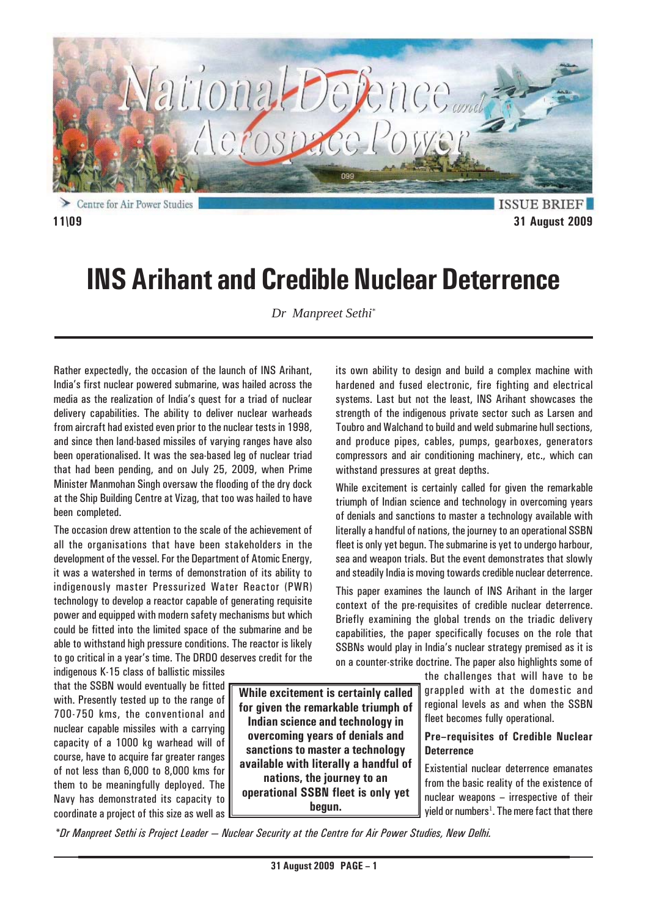

Centre for Air Power Studies

**ISSUE BRIEF 11\09 31 August 2009**

# **INS Arihant and Credible Nuclear Deterrence**

*Dr Manpreet Sethi\**

Rather expectedly, the occasion of the launch of INS Arihant, India's first nuclear powered submarine, was hailed across the media as the realization of India's quest for a triad of nuclear delivery capabilities. The ability to deliver nuclear warheads from aircraft had existed even prior to the nuclear tests in 1998, and since then land-based missiles of varying ranges have also been operationalised. It was the sea-based leg of nuclear triad that had been pending, and on July 25, 2009, when Prime Minister Manmohan Singh oversaw the flooding of the dry dock at the Ship Building Centre at Vizag, that too was hailed to have been completed.

The occasion drew attention to the scale of the achievement of all the organisations that have been stakeholders in the development of the vessel. For the Department of Atomic Energy, it was a watershed in terms of demonstration of its ability to indigenously master Pressurized Water Reactor (PWR) technology to develop a reactor capable of generating requisite power and equipped with modern safety mechanisms but which could be fitted into the limited space of the submarine and be able to withstand high pressure conditions. The reactor is likely to go critical in a year's time. The DRDO deserves credit for the

indigenous K-15 class of ballistic missiles that the SSBN would eventually be fitted with. Presently tested up to the range of 700-750 kms, the conventional and nuclear capable missiles with a carrying capacity of a 1000 kg warhead will of course, have to acquire far greater ranges of not less than 6,000 to 8,000 kms for them to be meaningfully deployed. The Navy has demonstrated its capacity to coordinate a project of this size as well as

**While excitement is certainly called for given the remarkable triumph of Indian science and technology in overcoming years of denials and sanctions to master a technology available with literally a handful of nations, the journey to an operational SSBN fleet is only yet begun.**

its own ability to design and build a complex machine with hardened and fused electronic, fire fighting and electrical systems. Last but not the least, INS Arihant showcases the strength of the indigenous private sector such as Larsen and Toubro and Walchand to build and weld submarine hull sections, and produce pipes, cables, pumps, gearboxes, generators compressors and air conditioning machinery, etc., which can withstand pressures at great depths.

While excitement is certainly called for given the remarkable triumph of Indian science and technology in overcoming years of denials and sanctions to master a technology available with literally a handful of nations, the journey to an operational SSBN fleet is only yet begun. The submarine is yet to undergo harbour, sea and weapon trials. But the event demonstrates that slowly and steadily India is moving towards credible nuclear deterrence.

This paper examines the launch of INS Arihant in the larger context of the pre-requisites of credible nuclear deterrence. Briefly examining the global trends on the triadic delivery capabilities, the paper specifically focuses on the role that SSBNs would play in India's nuclear strategy premised as it is on a counter-strike doctrine. The paper also highlights some of

> the challenges that will have to be grappled with at the domestic and regional levels as and when the SSBN fleet becomes fully operational.

### **Pre–requisites of Credible Nuclear Deterrence**

Existential nuclear deterrence emanates from the basic reality of the existence of nuclear weapons – irrespective of their yield or numbers<sup>1</sup>. The mere fact that there

*\*Dr Manpreet Sethi is Project Leader — Nuclear Security at the Centre for Air Power Studies, New Delhi.*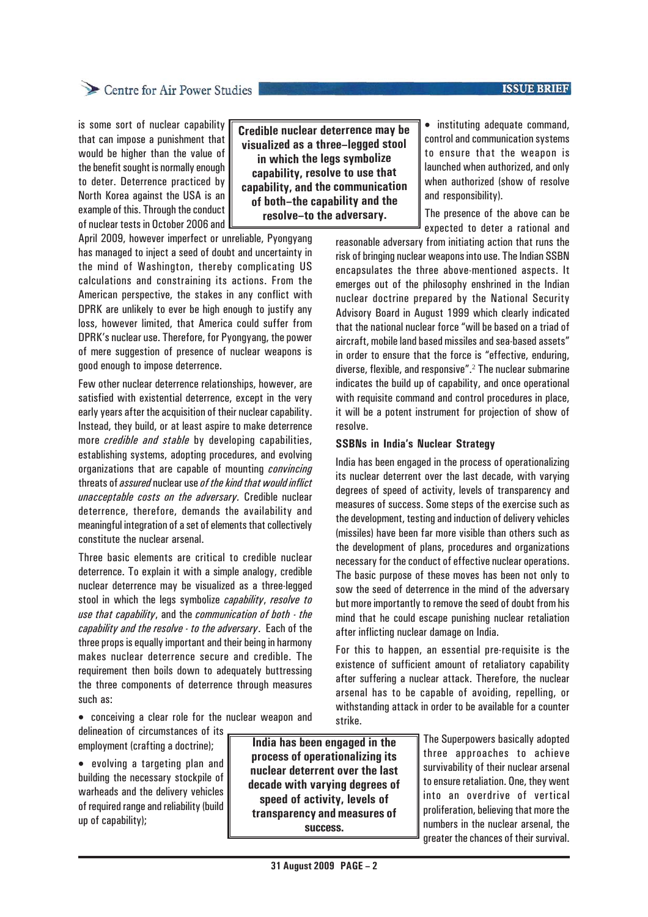#### **ISSUE BRIEF**

## Centre for Air Power Studies

is some sort of nuclear capability that can impose a punishment that would be higher than the value of the benefit sought is normally enough to deter. Deterrence practiced by North Korea against the USA is an example of this. Through the conduct of nuclear tests in October 2006 and

**Credible nuclear deterrence may be visualized as a three–legged stool in which the legs symbolize capability, resolve to use that capability, and the communication of both–the capability and the resolve–to the adversary.**

April 2009, however imperfect or unreliable, Pyongyang has managed to inject a seed of doubt and uncertainty in the mind of Washington, thereby complicating US calculations and constraining its actions. From the American perspective, the stakes in any conflict with DPRK are unlikely to ever be high enough to justify any loss, however limited, that America could suffer from DPRK's nuclear use. Therefore, for Pyongyang, the power of mere suggestion of presence of nuclear weapons is good enough to impose deterrence.

Few other nuclear deterrence relationships, however, are satisfied with existential deterrence, except in the very early years after the acquisition of their nuclear capability. Instead, they build, or at least aspire to make deterrence more *credible and stable* by developing capabilities, establishing systems, adopting procedures, and evolving organizations that are capable of mounting *convincing* threats of *assured* nuclear use *of the kind that would inflict unacceptable costs on the adversary.* Credible nuclear deterrence, therefore, demands the availability and meaningful integration of a set of elements that collectively constitute the nuclear arsenal.

Three basic elements are critical to credible nuclear deterrence. To explain it with a simple analogy, credible nuclear deterrence may be visualized as a three-legged stool in which the legs symbolize *capability*, *resolve to use that capability*, and the *communication of both - the capability and the resolve - to the adversary*. Each of the three props is equally important and their being in harmony makes nuclear deterrence secure and credible. The requirement then boils down to adequately buttressing the three components of deterrence through measures such as:

• conceiving a clear role for the nuclear weapon and

delineation of circumstances of its employment (crafting a doctrine);

• evolving a targeting plan and building the necessary stockpile of warheads and the delivery vehicles of required range and reliability (build up of capability);

**India has been engaged in the process of operationalizing its nuclear deterrent over the last decade with varying degrees of speed of activity, levels of transparency and measures of success.**

• instituting adequate command, control and communication systems to ensure that the weapon is launched when authorized, and only when authorized (show of resolve and responsibility).

The presence of the above can be expected to deter a rational and

reasonable adversary from initiating action that runs the risk of bringing nuclear weapons into use. The Indian SSBN encapsulates the three above-mentioned aspects. It emerges out of the philosophy enshrined in the Indian nuclear doctrine prepared by the National Security Advisory Board in August 1999 which clearly indicated that the national nuclear force "will be based on a triad of aircraft, mobile land based missiles and sea-based assets" in order to ensure that the force is "effective, enduring, diverse, flexible, and responsive".<sup>2</sup> The nuclear submarine indicates the build up of capability, and once operational with requisite command and control procedures in place, it will be a potent instrument for projection of show of resolve.

#### **SSBNs in India's Nuclear Strategy**

India has been engaged in the process of operationalizing its nuclear deterrent over the last decade, with varying degrees of speed of activity, levels of transparency and measures of success. Some steps of the exercise such as the development, testing and induction of delivery vehicles (missiles) have been far more visible than others such as the development of plans, procedures and organizations necessary for the conduct of effective nuclear operations. The basic purpose of these moves has been not only to sow the seed of deterrence in the mind of the adversary but more importantly to remove the seed of doubt from his mind that he could escape punishing nuclear retaliation after inflicting nuclear damage on India.

For this to happen, an essential pre-requisite is the existence of sufficient amount of retaliatory capability after suffering a nuclear attack. Therefore, the nuclear arsenal has to be capable of avoiding, repelling, or withstanding attack in order to be available for a counter strike.

> The Superpowers basically adopted three approaches to achieve survivability of their nuclear arsenal to ensure retaliation. One, they went into an overdrive of vertical proliferation, believing that more the numbers in the nuclear arsenal, the greater the chances of their survival.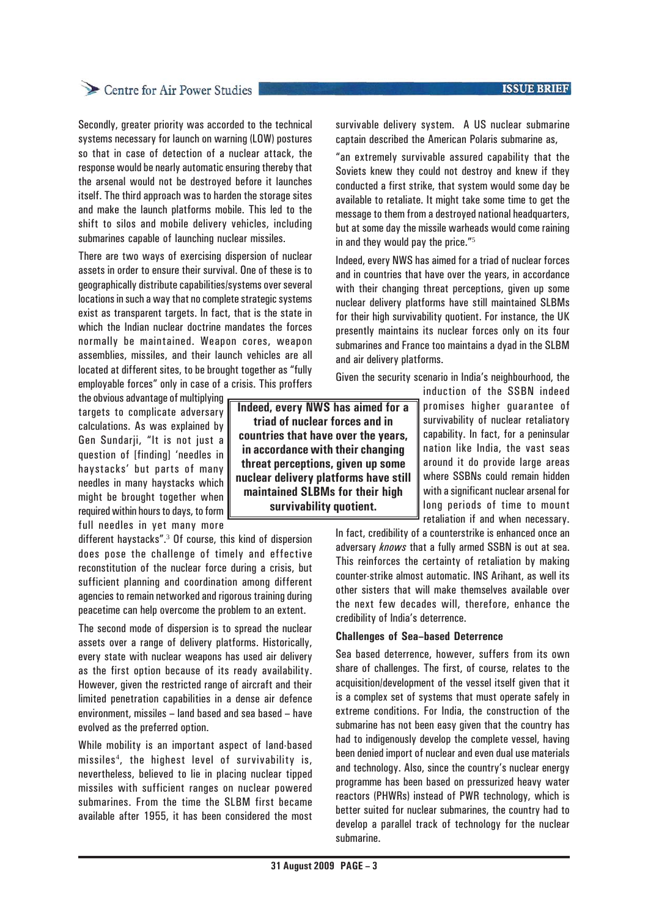## Centre for Air Power Studies

Secondly, greater priority was accorded to the technical systems necessary for launch on warning (LOW) postures so that in case of detection of a nuclear attack, the response would be nearly automatic ensuring thereby that the arsenal would not be destroyed before it launches itself. The third approach was to harden the storage sites and make the launch platforms mobile. This led to the shift to silos and mobile delivery vehicles, including submarines capable of launching nuclear missiles.

There are two ways of exercising dispersion of nuclear assets in order to ensure their survival. One of these is to geographically distribute capabilities/systems over several locations in such a way that no complete strategic systems exist as transparent targets. In fact, that is the state in which the Indian nuclear doctrine mandates the forces normally be maintained. Weapon cores, weapon assemblies, missiles, and their launch vehicles are all located at different sites, to be brought together as "fully employable forces" only in case of a crisis. This proffers

the obvious advantage of multiplying targets to complicate adversary calculations. As was explained by Gen Sundarji, "It is not just a question of [finding] 'needles in haystacks' but parts of many needles in many haystacks which might be brought together when required within hours to days, to form full needles in yet many more

different haystacks".<sup>3</sup> Of course, this kind of dispersion does pose the challenge of timely and effective reconstitution of the nuclear force during a crisis, but sufficient planning and coordination among different agencies to remain networked and rigorous training during peacetime can help overcome the problem to an extent.

The second mode of dispersion is to spread the nuclear assets over a range of delivery platforms. Historically, every state with nuclear weapons has used air delivery as the first option because of its ready availability. However, given the restricted range of aircraft and their limited penetration capabilities in a dense air defence environment, missiles – land based and sea based – have evolved as the preferred option.

While mobility is an important aspect of land-based missiles<sup>4</sup> , the highest level of survivability is, nevertheless, believed to lie in placing nuclear tipped missiles with sufficient ranges on nuclear powered submarines. From the time the SLBM first became available after 1955, it has been considered the most

survivable delivery system. A US nuclear submarine captain described the American Polaris submarine as,

"an extremely survivable assured capability that the Soviets knew they could not destroy and knew if they conducted a first strike, that system would some day be available to retaliate. It might take some time to get the message to them from a destroyed national headquarters, but at some day the missile warheads would come raining in and they would pay the price."<sup>5</sup>

Indeed, every NWS has aimed for a triad of nuclear forces and in countries that have over the years, in accordance with their changing threat perceptions, given up some nuclear delivery platforms have still maintained SLBMs for their high survivability quotient. For instance, the UK presently maintains its nuclear forces only on its four submarines and France too maintains a dyad in the SLBM and air delivery platforms.

Given the security scenario in India's neighbourhood, the

**Indeed, every NWS has aimed for a triad of nuclear forces and in countries that have over the years, in accordance with their changing threat perceptions, given up some nuclear delivery platforms have still maintained SLBMs for their high survivability quotient.**

induction of the SSBN indeed promises higher guarantee of survivability of nuclear retaliatory capability. In fact, for a peninsular nation like India, the vast seas around it do provide large areas where SSBNs could remain hidden with a significant nuclear arsenal for long periods of time to mount retaliation if and when necessary.

In fact, credibility of a counterstrike is enhanced once an adversary *knows* that a fully armed SSBN is out at sea. This reinforces the certainty of retaliation by making counter-strike almost automatic. INS Arihant, as well its other sisters that will make themselves available over the next few decades will, therefore, enhance the credibility of India's deterrence.

#### **Challenges of Sea–based Deterrence**

Sea based deterrence, however, suffers from its own share of challenges. The first, of course, relates to the acquisition/development of the vessel itself given that it is a complex set of systems that must operate safely in extreme conditions. For India, the construction of the submarine has not been easy given that the country has had to indigenously develop the complete vessel, having been denied import of nuclear and even dual use materials and technology. Also, since the country's nuclear energy programme has been based on pressurized heavy water reactors (PHWRs) instead of PWR technology, which is better suited for nuclear submarines, the country had to develop a parallel track of technology for the nuclear submarine.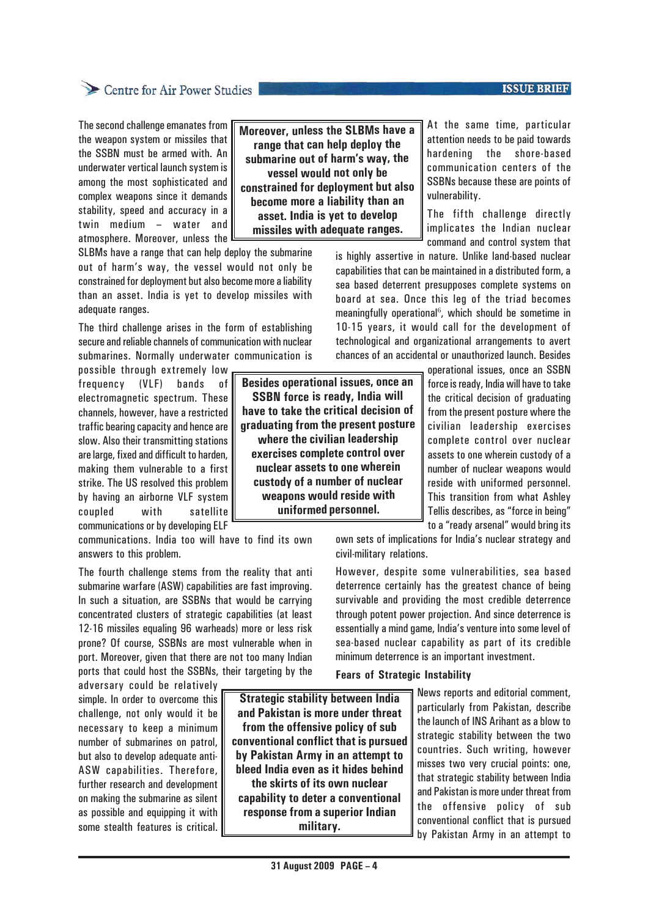## Centre for Air Power Studies

The second challenge emanates from the weapon system or missiles that the SSBN must be armed with. An underwater vertical launch system is among the most sophisticated and complex weapons since it demands stability, speed and accuracy in a twin medium – water and atmosphere. Moreover, unless the

SLBMs have a range that can help deploy the submarine out of harm's way, the vessel would not only be constrained for deployment but also become more a liability than an asset. India is yet to develop missiles with adequate ranges.

The third challenge arises in the form of establishing secure and reliable channels of communication with nuclear submarines. Normally underwater communication is

possible through extremely low frequency (VLF) bands of electromagnetic spectrum. These channels, however, have a restricted traffic bearing capacity and hence are slow. Also their transmitting stations are large, fixed and difficult to harden, making them vulnerable to a first strike. The US resolved this problem by having an airborne VLF system coupled with satellite communications or by developing ELF

communications. India too will have to find its own answers to this problem.

The fourth challenge stems from the reality that anti submarine warfare (ASW) capabilities are fast improving. In such a situation, are SSBNs that would be carrying concentrated clusters of strategic capabilities (at least 12-16 missiles equaling 96 warheads) more or less risk prone? Of course, SSBNs are most vulnerable when in port. Moreover, given that there are not too many Indian ports that could host the SSBNs, their targeting by the

adversary could be relatively simple. In order to overcome this challenge, not only would it be necessary to keep a minimum number of submarines on patrol, but also to develop adequate anti-ASW capabilities. Therefore, further research and development on making the submarine as silent as possible and equipping it with some stealth features is critical.

**Besides operational issues, once an SSBN force is ready, India will have to take the critical decision of graduating from the present posture where the civilian leadership exercises complete control over nuclear assets to one wherein custody of a number of nuclear weapons would reside with uniformed personnel.**

**Moreover, unless the SLBMs have a range that can help deploy the submarine out of harm's way, the vessel would not only be constrained for deployment but also become more a liability than an asset. India is yet to develop missiles with adequate ranges.**

At the same time, particular attention needs to be paid towards hardening the shore-based communication centers of the SSBNs because these are points of vulnerability.

The fifth challenge directly implicates the Indian nuclear command and control system that

is highly assertive in nature. Unlike land-based nuclear capabilities that can be maintained in a distributed form, a sea based deterrent presupposes complete systems on board at sea. Once this leg of the triad becomes meaningfully operational<sup>6</sup>, which should be sometime in 10-15 years, it would call for the development of technological and organizational arrangements to avert chances of an accidental or unauthorized launch. Besides

> operational issues, once an SSBN force is ready, India will have to take the critical decision of graduating from the present posture where the civilian leadership exercises complete control over nuclear assets to one wherein custody of a number of nuclear weapons would reside with uniformed personnel. This transition from what Ashley Tellis describes, as "force in being" to a "ready arsenal" would bring its

own sets of implications for India's nuclear strategy and civil-military relations.

However, despite some vulnerabilities, sea based deterrence certainly has the greatest chance of being survivable and providing the most credible deterrence through potent power projection. And since deterrence is essentially a mind game, India's venture into some level of sea-based nuclear capability as part of its credible minimum deterrence is an important investment.

#### **Fears of Strategic Instability**

**Strategic stability between India and Pakistan is more under threat from the offensive policy of sub conventional conflict that is pursued by Pakistan Army in an attempt to bleed India even as it hides behind the skirts of its own nuclear capability to deter a conventional response from a superior Indian military.**

News reports and editorial comment, particularly from Pakistan, describe the launch of INS Arihant as a blow to strategic stability between the two countries. Such writing, however misses two very crucial points: one, that strategic stability between India and Pakistan is more under threat from the offensive policy of sub conventional conflict that is pursued by Pakistan Army in an attempt to

#### **ISSUE BRIEF**